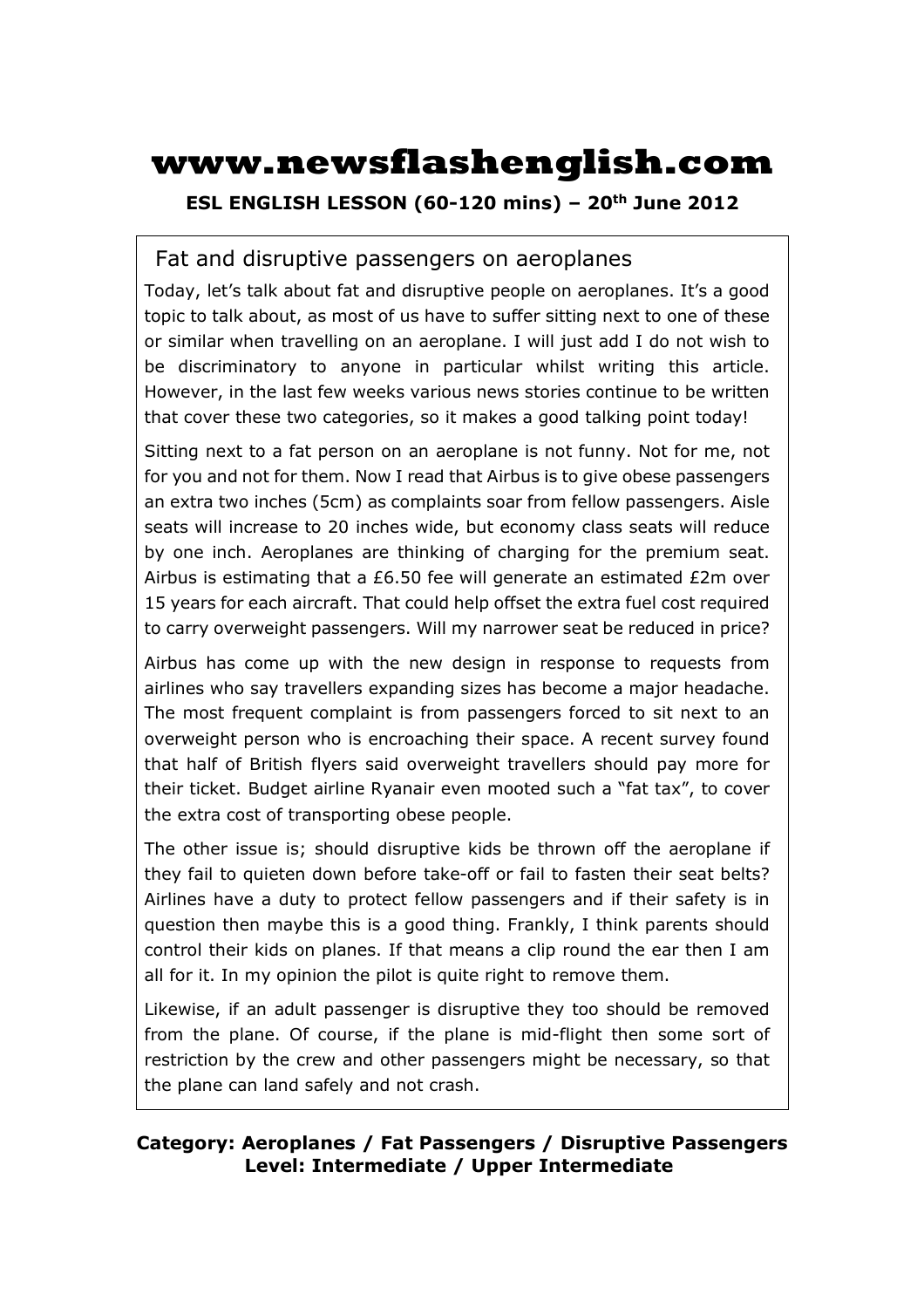# **www.newsflashenglish.com**

**ESL ENGLISH LESSON (60-120 mins) – 20th June 2012** 

### Fat and disruptive passengers on aeroplanes

Today, let's talk about fat and disruptive people on aeroplanes. It's a good topic to talk about, as most of us have to suffer sitting next to one of these or similar when travelling on an aeroplane. I will just add I do not wish to be discriminatory to anyone in particular whilst writing this article. However, in the last few weeks various news stories continue to be written that cover these two categories, so it makes a good talking point today!

Sitting next to a fat person on an aeroplane is not funny. Not for me, not for you and not for them. Now I read that Airbus is to give obese passengers an extra two inches (5cm) as complaints soar from fellow passengers. Aisle seats will increase to 20 inches wide, but economy class seats will reduce by one inch. Aeroplanes are thinking of charging for the premium seat. Airbus is estimating that a £6.50 fee will generate an estimated £2m over 15 years for each aircraft. That could help offset the extra fuel cost required to carry overweight passengers. Will my narrower seat be reduced in price?

Airbus has come up with the new design in response to requests from airlines who say travellers expanding sizes has become a major headache. The most frequent complaint is from passengers forced to sit next to an overweight person who is encroaching their space. A recent survey found that half of British flyers said overweight travellers should pay more for their ticket. Budget airline Ryanair even mooted such a "fat tax", to cover the extra cost of transporting obese people.

The other issue is; should disruptive kids be thrown off the aeroplane if they fail to quieten down before take-off or fail to fasten their seat belts? Airlines have a duty to protect fellow passengers and if their safety is in question then maybe this is a good thing. Frankly, I think parents should control their kids on planes. If that means a clip round the ear then I am all for it. In my opinion the pilot is quite right to remove them.

Likewise, if an adult passenger is disruptive they too should be removed from the plane. Of course, if the plane is mid-flight then some sort of restriction by the crew and other passengers might be necessary, so that the plane can land safely and not crash.

#### **Category: Aeroplanes / Fat Passengers / Disruptive Passengers Level: Intermediate / Upper Intermediate**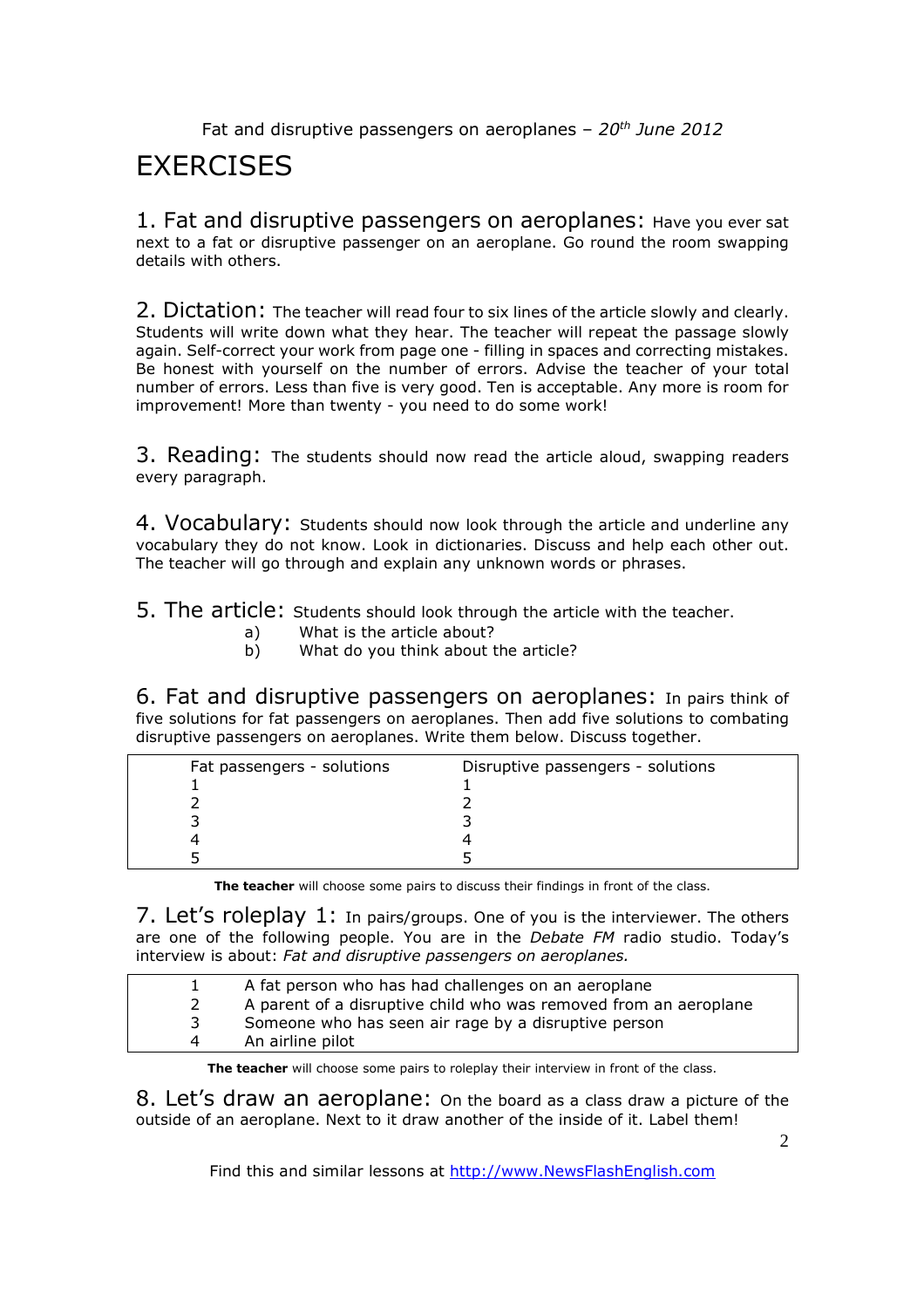# **EXERCISES**

1. Fat and disruptive passengers on aeroplanes: Have you ever sat next to a fat or disruptive passenger on an aeroplane. Go round the room swapping details with others.

2. Dictation: The teacher will read four to six lines of the article slowly and clearly. Students will write down what they hear. The teacher will repeat the passage slowly again. Self-correct your work from page one - filling in spaces and correcting mistakes. Be honest with yourself on the number of errors. Advise the teacher of your total number of errors. Less than five is very good. Ten is acceptable. Any more is room for improvement! More than twenty - you need to do some work!

3. Reading: The students should now read the article aloud, swapping readers every paragraph.

4. Vocabulary: Students should now look through the article and underline any vocabulary they do not know. Look in dictionaries. Discuss and help each other out. The teacher will go through and explain any unknown words or phrases.

5. The article: Students should look through the article with the teacher.

- a) What is the article about?
- b) What do you think about the article?

6. Fat and disruptive passengers on aeroplanes: In pairs think of five solutions for fat passengers on aeroplanes. Then add five solutions to combating disruptive passengers on aeroplanes. Write them below. Discuss together.

| Fat passengers - solutions | Disruptive passengers - solutions |
|----------------------------|-----------------------------------|
|                            |                                   |
|                            |                                   |
|                            |                                   |
|                            |                                   |
|                            |                                   |

**The teacher** will choose some pairs to discuss their findings in front of the class.

7. Let's roleplay 1: In pairs/groups. One of you is the interviewer. The others are one of the following people. You are in the *Debate FM* radio studio. Today's interview is about: *Fat and disruptive passengers on aeroplanes.* 

|   | A fat person who has had challenges on an aeroplane              |
|---|------------------------------------------------------------------|
|   | A parent of a disruptive child who was removed from an aeroplane |
|   | Someone who has seen air rage by a disruptive person             |
| 4 | An airline pilot                                                 |
|   |                                                                  |

**The teacher** will choose some pairs to roleplay their interview in front of the class.

8. Let's draw an aeroplane: On the board as a class draw a picture of the outside of an aeroplane. Next to it draw another of the inside of it. Label them!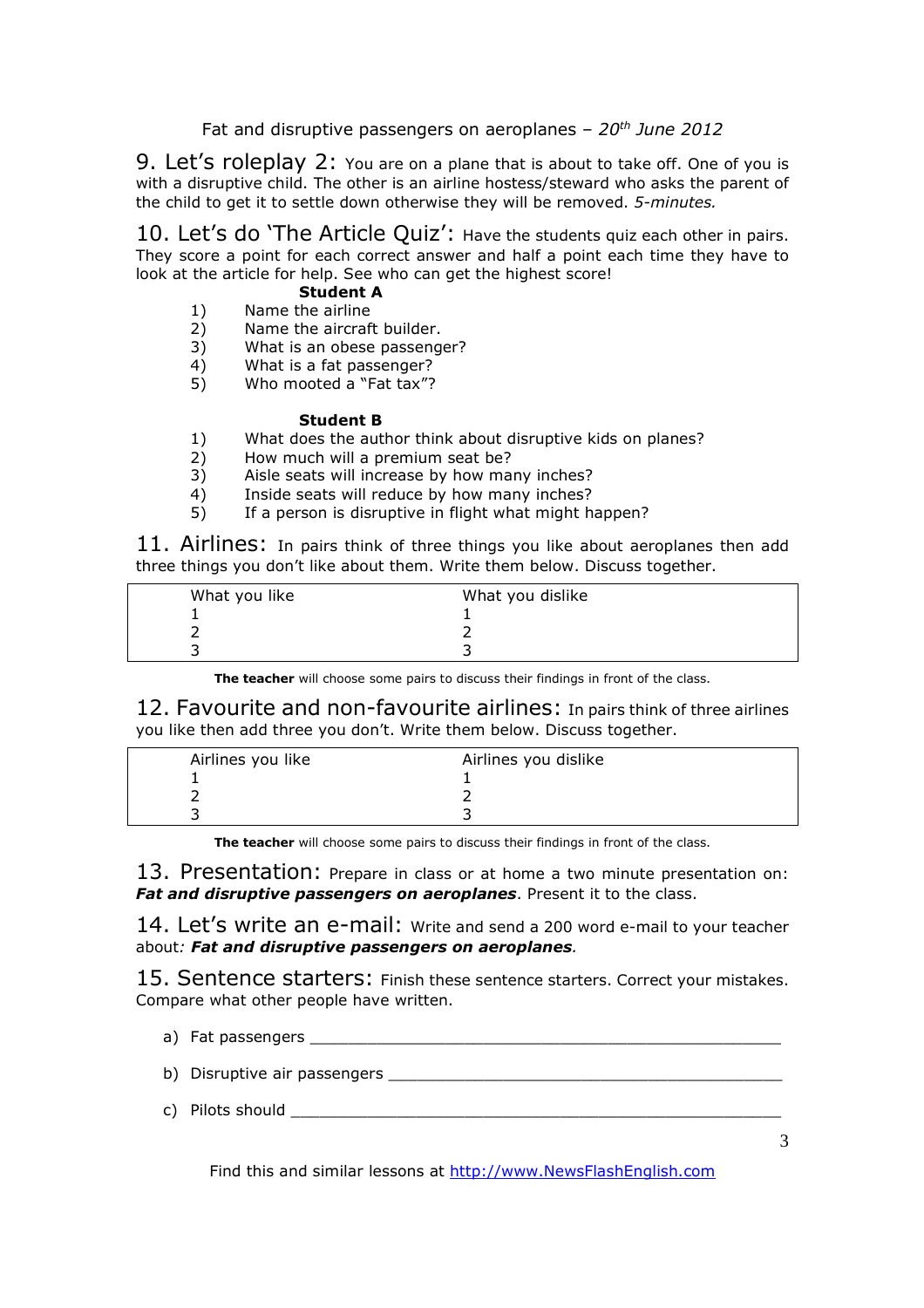9. Let's roleplay 2: You are on a plane that is about to take off. One of you is with a disruptive child. The other is an airline hostess/steward who asks the parent of the child to get it to settle down otherwise they will be removed. *5-minutes.* 

10. Let's do 'The Article Quiz': Have the students quiz each other in pairs. They score a point for each correct answer and half a point each time they have to look at the article for help. See who can get the highest score!

#### **Student A**

- 1) Name the airline
- 2) Name the aircraft builder.
- 3) What is an obese passenger?
- 4) What is a fat passenger?<br>5) Who mooted a "Fat tax"?
- Who mooted a "Fat tax"?

#### **Student B**

- 1) What does the author think about disruptive kids on planes?
- 2) How much will a premium seat be?
- 3) Aisle seats will increase by how many inches?
- 4) Inside seats will reduce by how many inches?
- 5) If a person is disruptive in flight what might happen?

11. Airlines: In pairs think of three things you like about aeroplanes then add three things you don't like about them. Write them below. Discuss together.

| What you like | What you dislike |
|---------------|------------------|
|               |                  |
|               |                  |
|               |                  |

**The teacher** will choose some pairs to discuss their findings in front of the class.

12. Favourite and non-favourite airlines: In pairs think of three airlines you like then add three you don't. Write them below. Discuss together.

| Airlines you like | Airlines you dislike |
|-------------------|----------------------|
|                   |                      |
|                   |                      |
|                   |                      |

**The teacher** will choose some pairs to discuss their findings in front of the class.

13. Presentation: Prepare in class or at home a two minute presentation on: *Fat and disruptive passengers on aeroplanes*. Present it to the class.

14. Let's write an e-mail: Write and send a 200 word e-mail to your teacher about*: Fat and disruptive passengers on aeroplanes.* 

15. Sentence starters: Finish these sentence starters. Correct your mistakes. Compare what other people have written.

- a) Fat passengers **and the set of the set of the set of the set of the set of the set of the set of the set of the set of the set of the set of the set of the set of the set of the set of the set of the set of the set of t**
- b) Disruptive air passengers
- c) Pilots should **c**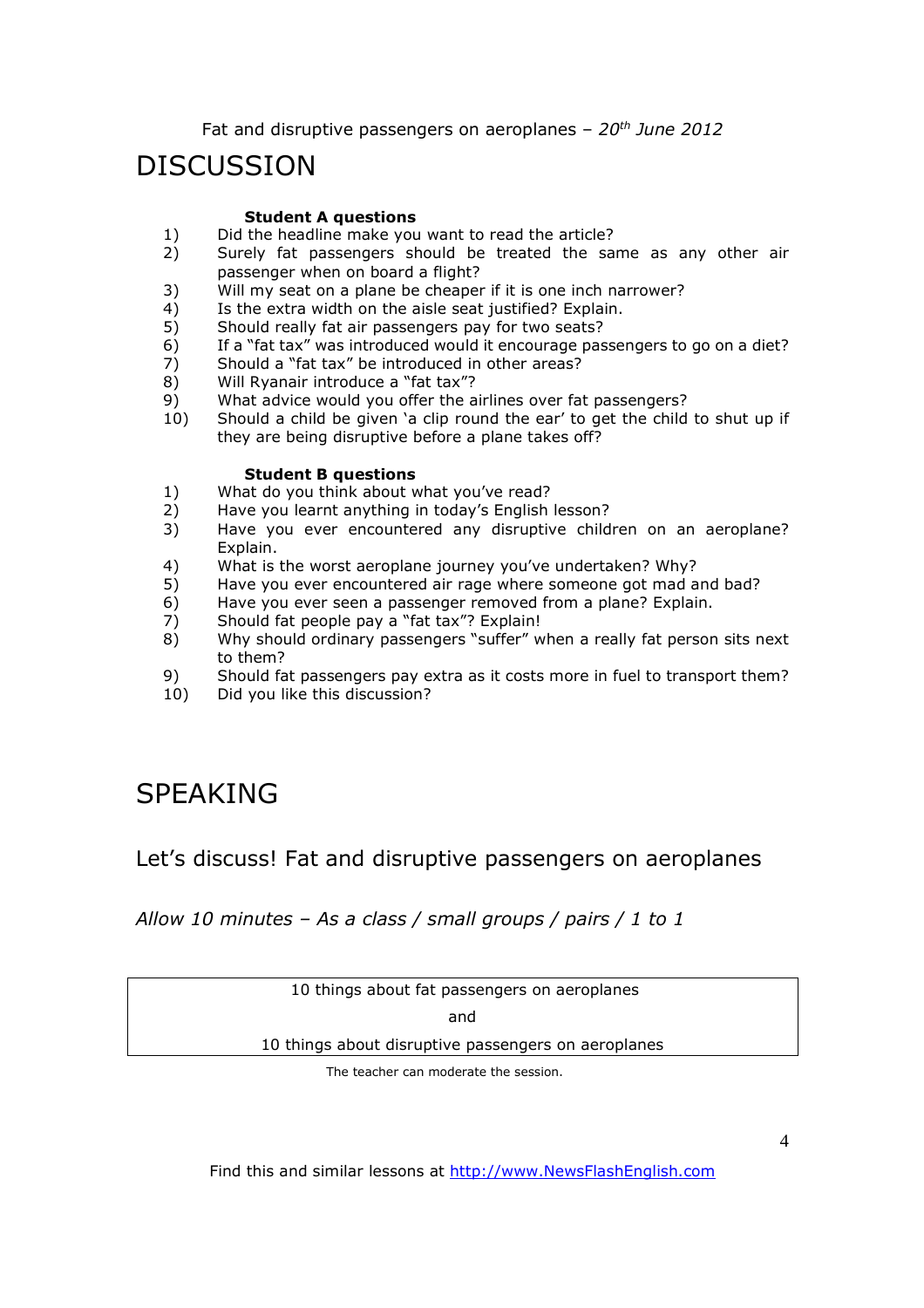## DISCUSSION

#### **Student A questions**

- 1) Did the headline make you want to read the article?<br>2) Surely fat passengers should be treated the sa
- Surely fat passengers should be treated the same as any other air passenger when on board a flight?
- 3) Will my seat on a plane be cheaper if it is one inch narrower?
- 4) Is the extra width on the aisle seat justified? Explain.
- 5) Should really fat air passengers pay for two seats?
- 6) If a "fat tax" was introduced would it encourage passengers to go on a diet?
- 7) Should a "fat tax" be introduced in other areas?
- 8) Will Ryanair introduce a "fat tax"?
- 9) What advice would you offer the airlines over fat passengers?
- 10) Should a child be given 'a clip round the ear' to get the child to shut up if they are being disruptive before a plane takes off?

#### **Student B questions**

- 1) What do you think about what you've read?
- 2) Have you learnt anything in today's English lesson?
- 3) Have you ever encountered any disruptive children on an aeroplane? Explain.
- 4) What is the worst aeroplane journey you've undertaken? Why?
- 5) Have you ever encountered air rage where someone got mad and bad?
- 6) Have you ever seen a passenger removed from a plane? Explain.
- 7) Should fat people pay a "fat tax"? Explain!
- 8) Why should ordinary passengers "suffer" when a really fat person sits next to them?
- 9) Should fat passengers pay extra as it costs more in fuel to transport them?<br>10) Did vou like this discussion?
- Did you like this discussion?

## SPEAKING

### Let's discuss! Fat and disruptive passengers on aeroplanes

*Allow 10 minutes – As a class / small groups / pairs / 1 to 1* 

10 things about fat passengers on aeroplanes

and

10 things about disruptive passengers on aeroplanes

The teacher can moderate the session.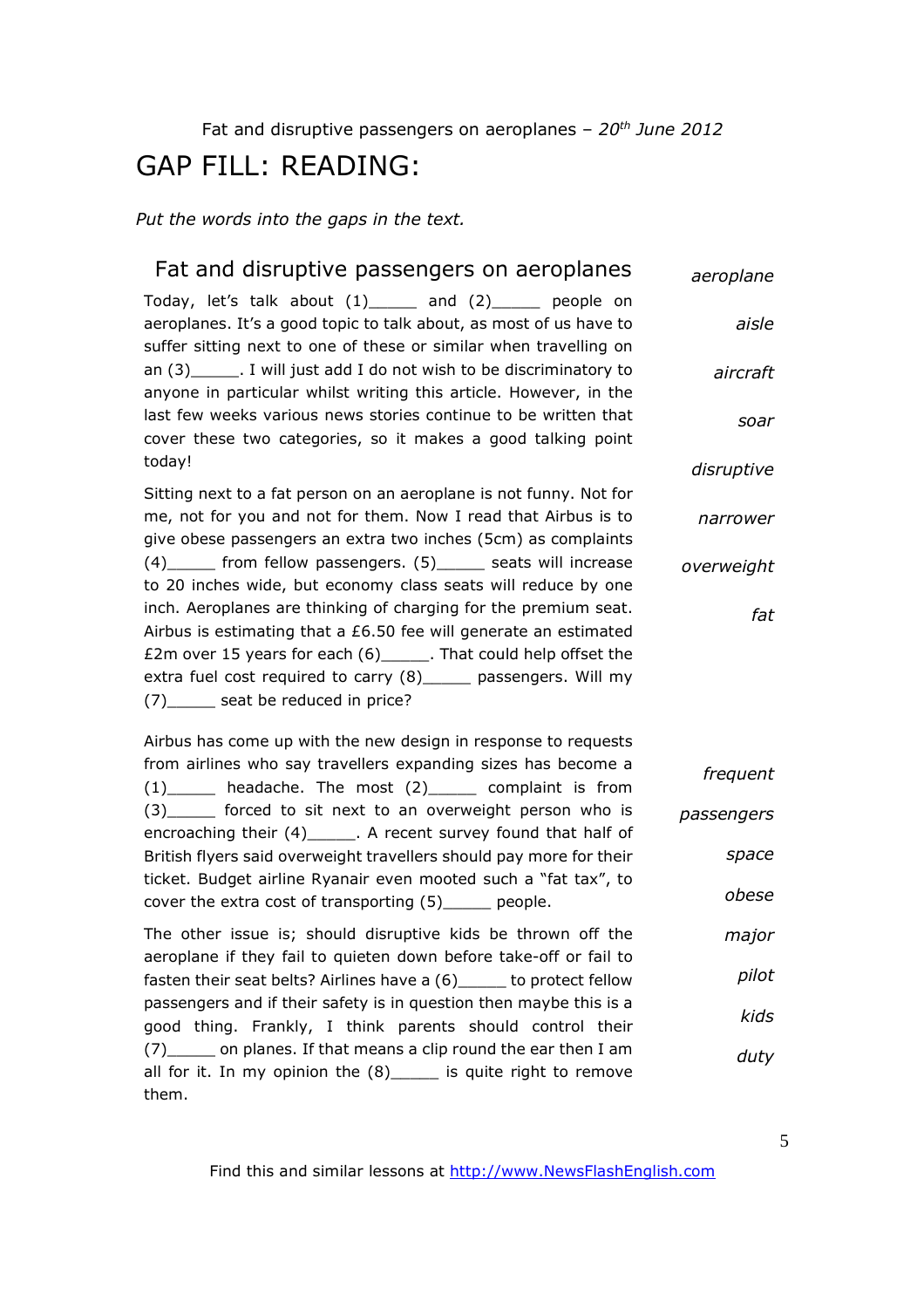### GAP FILL: READING:

*Put the words into the gaps in the text.* 

| Fat and disruptive passengers on aeroplanes                                                                                                                                                          | aeroplane  |
|------------------------------------------------------------------------------------------------------------------------------------------------------------------------------------------------------|------------|
| Today, let's talk about (1)_____ and (2)_____ people on<br>aeroplanes. It's a good topic to talk about, as most of us have to                                                                        | aisle      |
| suffer sitting next to one of these or similar when travelling on<br>an (3)_______. I will just add I do not wish to be discriminatory to                                                            | aircraft   |
| anyone in particular whilst writing this article. However, in the<br>last few weeks various news stories continue to be written that<br>cover these two categories, so it makes a good talking point | soar       |
| today!                                                                                                                                                                                               | disruptive |
| Sitting next to a fat person on an aeroplane is not funny. Not for<br>me, not for you and not for them. Now I read that Airbus is to                                                                 | narrower   |
| give obese passengers an extra two inches (5cm) as complaints                                                                                                                                        |            |
| (4) ______ from fellow passengers. (5) ______ seats will increase<br>to 20 inches wide, but economy class seats will reduce by one                                                                   | overweight |
| inch. Aeroplanes are thinking of charging for the premium seat.                                                                                                                                      | fat        |
| Airbus is estimating that a $£6.50$ fee will generate an estimated                                                                                                                                   |            |
| £2m over 15 years for each (6)______. That could help offset the<br>extra fuel cost required to carry (8) _____ passengers. Will my                                                                  |            |
| (7) ______ seat be reduced in price?                                                                                                                                                                 |            |
| Airbus has come up with the new design in response to requests                                                                                                                                       |            |
| from airlines who say travellers expanding sizes has become a<br>$(1)$ headache. The most $(2)$ complaint is from                                                                                    | frequent   |
| (3) ______ forced to sit next to an overweight person who is<br>encroaching their (4)______. A recent survey found that half of                                                                      | passengers |
| British flyers said overweight travellers should pay more for their                                                                                                                                  | space      |
| ticket. Budget airline Ryanair even mooted such a "fat tax", to<br>cover the extra cost of transporting (5) ____ people.                                                                             | obese      |
|                                                                                                                                                                                                      |            |
| The other issue is; should disruptive kids be thrown off the<br>aeroplane if they fail to quieten down before take-off or fail to                                                                    | major      |
| fasten their seat belts? Airlines have a (6) _____ to protect fellow                                                                                                                                 | pilot      |

passengers and if their safety is in question then maybe this is a good thing. Frankly, I think parents should control their (7)\_\_\_\_\_ on planes. If that means a clip round the ear then I am all for it. In my opinion the  $(8)$  is quite right to remove them. *kids duty*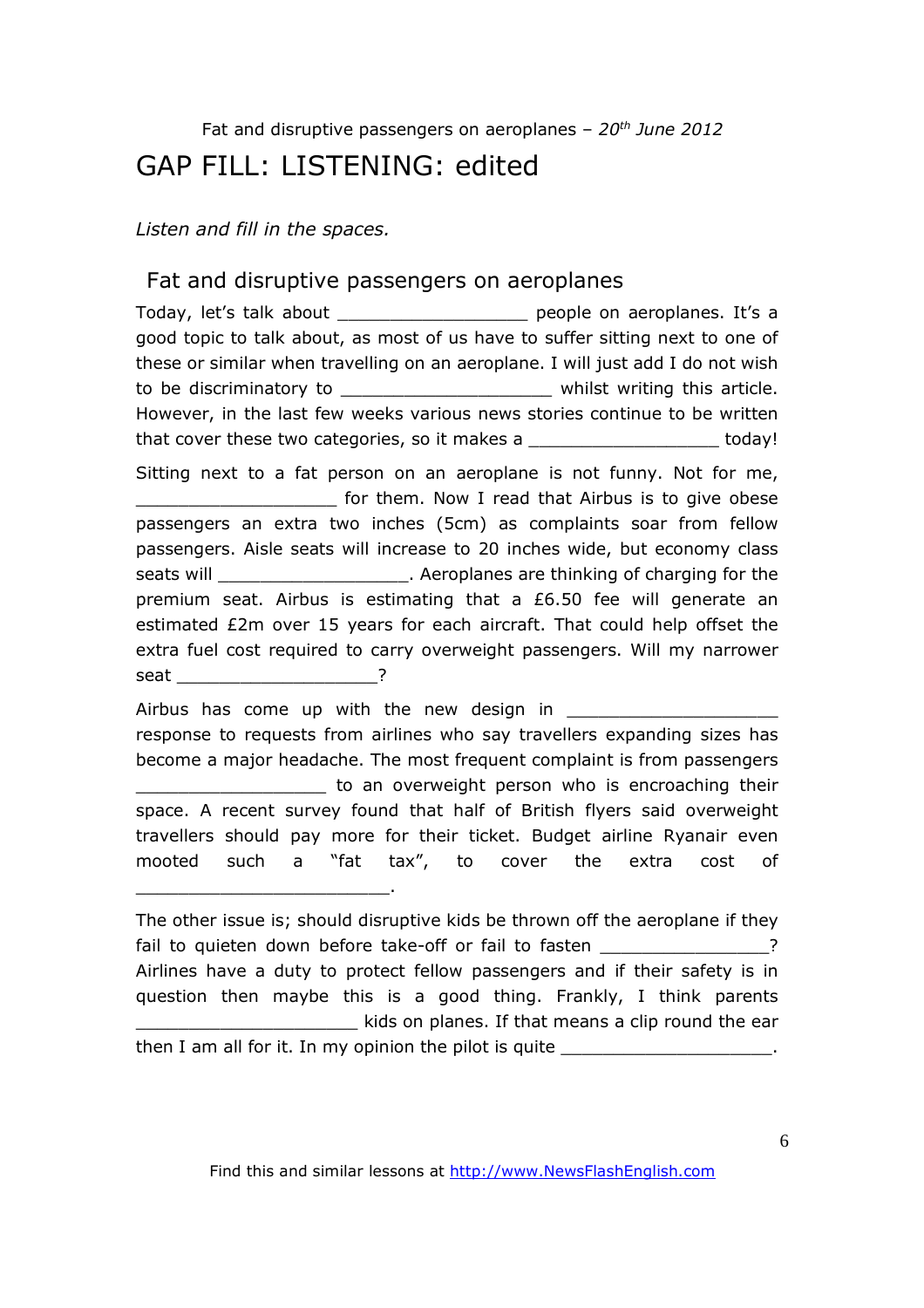## GAP FILL: LISTENING: edited

*Listen and fill in the spaces.* 

### Fat and disruptive passengers on aeroplanes

Today, let's talk about entity and the people on aeroplanes. It's a good topic to talk about, as most of us have to suffer sitting next to one of these or similar when travelling on an aeroplane. I will just add I do not wish to be discriminatory to **the unitary to the set of the victor** whilst writing this article. However, in the last few weeks various news stories continue to be written that cover these two categories, so it makes a \_\_\_\_\_\_\_\_\_\_\_\_\_\_\_\_\_\_\_\_\_ today! Sitting next to a fat person on an aeroplane is not funny. Not for me, **EXECUTE:** For them. Now I read that Airbus is to give obese passengers an extra two inches (5cm) as complaints soar from fellow passengers. Aisle seats will increase to 20 inches wide, but economy class seats will seats will seats will seats will be a second and controller are thinking of charging for the premium seat. Airbus is estimating that a £6.50 fee will generate an estimated £2m over 15 years for each aircraft. That could help offset the extra fuel cost required to carry overweight passengers. Will my narrower seat 2 Airbus has come up with the new design in response to requests from airlines who say travellers expanding sizes has become a major headache. The most frequent complaint is from passengers **EXECUTE:** to an overweight person who is encroaching their space. A recent survey found that half of British flyers said overweight travellers should pay more for their ticket. Budget airline Ryanair even mooted such a "fat tax", to cover the extra cost of \_\_\_\_\_\_\_\_\_\_\_\_\_\_\_\_\_\_\_\_\_\_\_\_. The other issue is; should disruptive kids be thrown off the aeroplane if they

fail to quieten down before take-off or fail to fasten **Fig. 10** 2 Airlines have a duty to protect fellow passengers and if their safety is in question then maybe this is a good thing. Frankly, I think parents \_\_\_\_\_\_\_\_\_\_\_\_\_\_\_\_\_\_\_\_\_ kids on planes. If that means a clip round the ear then I am all for it. In my opinion the pilot is quite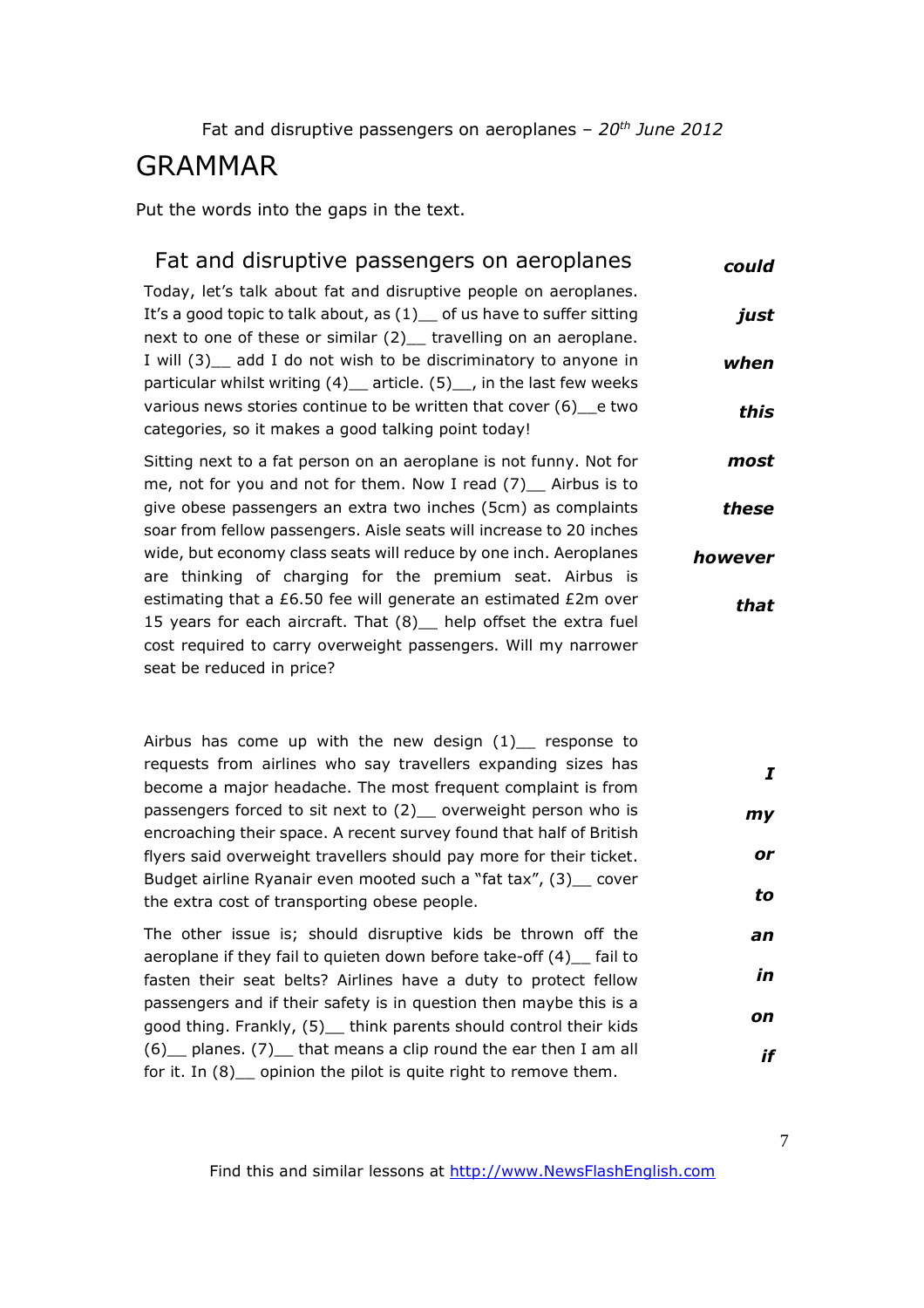### GRAMMAR

Put the words into the gaps in the text.

#### Fat and disruptive passengers on aeroplanes Today, let's talk about fat and disruptive people on aeroplanes. It's a good topic to talk about, as  $(1)$  of us have to suffer sitting next to one of these or similar (2) travelling on an aeroplane. I will (3)\_\_ add I do not wish to be discriminatory to anyone in particular whilst writing  $(4)$  article.  $(5)$ , in the last few weeks various news stories continue to be written that cover (6)\_\_e two categories, so it makes a good talking point today! *could just when this*

Sitting next to a fat person on an aeroplane is not funny. Not for me, not for you and not for them. Now I read (7) Airbus is to give obese passengers an extra two inches (5cm) as complaints soar from fellow passengers. Aisle seats will increase to 20 inches wide, but economy class seats will reduce by one inch. Aeroplanes are thinking of charging for the premium seat. Airbus is estimating that a £6.50 fee will generate an estimated £2m over 15 years for each aircraft. That (8) help offset the extra fuel cost required to carry overweight passengers. Will my narrower seat be reduced in price? *most these however that*

Airbus has come up with the new design  $(1)$  response to requests from airlines who say travellers expanding sizes has become a major headache. The most frequent complaint is from passengers forced to sit next to (2) overweight person who is encroaching their space. A recent survey found that half of British flyers said overweight travellers should pay more for their ticket. Budget airline Ryanair even mooted such a "fat tax", (3) cover the extra cost of transporting obese people. *I my or to*

The other issue is; should disruptive kids be thrown off the aeroplane if they fail to quieten down before take-off (4) fail to fasten their seat belts? Airlines have a duty to protect fellow passengers and if their safety is in question then maybe this is a good thing. Frankly, (5)\_\_ think parents should control their kids  $(6)$  planes. (7) that means a clip round the ear then I am all for it. In (8) opinion the pilot is quite right to remove them.

*an*

*in*

*on*

*if*